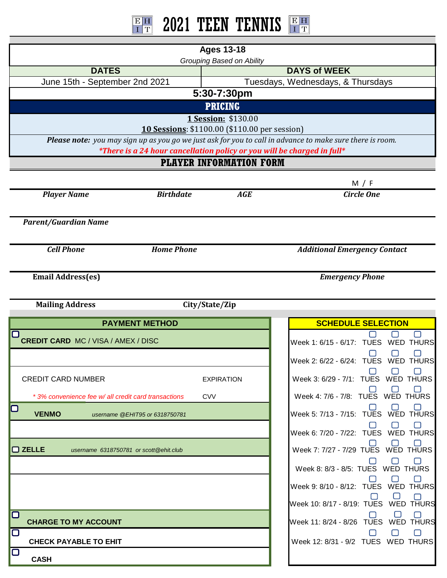## $\frac{\text{E} \text{H}}{\text{I} \text{T}}$ 2021 TEEN TENNIS **Ages 13-18** *Grouping Based on Ability* **DAYS of WEEK DATES** June 15th - September 2nd 2021 Tuesdays, Wednesdays, & Thursdays **5:30-7:30pm PRICING 1 Session:** \$130.00 **10 Sessions**: \$1100.00 (\$110.00 per session) *Please note: you may sign up as you go we just ask for you to call in advance to make sure there is room. \*There is a 24 hour cancellation policy or you will be charged in full\** **PLAYER INFORMATION FORM** M / F *Player Name Birthdate Circle One AGE Parent/Guardian Name Cell Phone Home Phone Additional Emergency Contact* **Email Address(es)** *Emergency Phone* **Mailing Address City/State/Zip PAYMENT METHOD ASSESSED ASSESSED ASSESSED ASSESSED ASSESSED ASSESSED ASSESSED ASSESSED ASSESSED ASSESSED ASSESS** ∩  $\Box$ ∩  **CREDIT CARD** MC / VISA / AMEX / DISC Week 1: 6/15 - 6/17: TUES WED THURS ∩ ∩ ⊓ Week 2: 6/22 - 6/24: TUES WED THURS □ □ П CREDIT CARD NUMBER EXPIRATION Week 3: 6/29 - 7/1: TUES WED THURS Week 4: 7/6 - 7/8: TUES WED THURS **CVV** *\* 3% convenience fee w/ all credit card transactions*Week 5: 7/13 - 7/15: TUES WED THURS □ **VENMO** *username @EHIT95 or 6318750781* ∩ ∩ ⊓ Week 6: 7/20 - 7/22: TUES WED THURS **ZELLE** *username 6318750781 or scott@ehit.club* Week 7: 7/27 - 7/29 TUES WED THURS ⊓ ∩  $\Box$ Week 8: 8/3 - 8/5: TUES WED THURS П  $\Box$  $\Box$ Week 9: 8/10 - 8/12: TUES WED THURS ∩ ∩ Week 10: 8/17 - 8/19: TUES WED THURS  $\Box$ H Week 11: 8/24 - 8/26 TUES WED THURS  **CHARGE TO MY ACCOUNT** ∩ □ ⊓  **CHECK PAYABLE TO EHIT** Week 12: 8/31 - 9/2 TUES WED THURS

 **CASH**